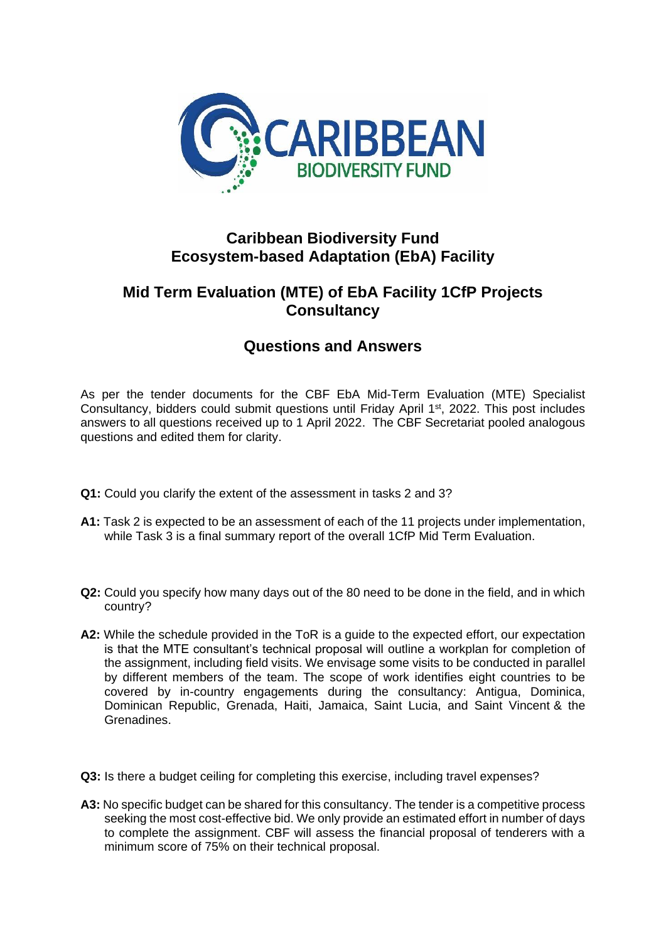

## **Caribbean Biodiversity Fund Ecosystem-based Adaptation (EbA) Facility**

## **Mid Term Evaluation (MTE) of EbA Facility 1CfP Projects Consultancy**

## **Questions and Answers**

As per the tender documents for the CBF EbA Mid-Term Evaluation (MTE) Specialist Consultancy, bidders could submit questions until Friday April 1<sup>st</sup>, 2022. This post includes answers to all questions received up to 1 April 2022. The CBF Secretariat pooled analogous questions and edited them for clarity.

- **Q1:** Could you clarify the extent of the assessment in tasks 2 and 3?
- **A1:** Task 2 is expected to be an assessment of each of the 11 projects under implementation, while Task 3 is a final summary report of the overall 1CfP Mid Term Evaluation.
- **Q2:** Could you specify how many days out of the 80 need to be done in the field, and in which country?
- **A2:** While the schedule provided in the ToR is a guide to the expected effort, our expectation is that the MTE consultant's technical proposal will outline a workplan for completion of the assignment, including field visits. We envisage some visits to be conducted in parallel by different members of the team. The scope of work identifies eight countries to be covered by in-country engagements during the consultancy: Antigua, Dominica, Dominican Republic, Grenada, Haiti, Jamaica, Saint Lucia, and Saint Vincent & the Grenadines.
- **Q3:** Is there a budget ceiling for completing this exercise, including travel expenses?
- **A3:** No specific budget can be shared for this consultancy. The tender is a competitive process seeking the most cost-effective bid. We only provide an estimated effort in number of days to complete the assignment. CBF will assess the financial proposal of tenderers with a minimum score of 75% on their technical proposal.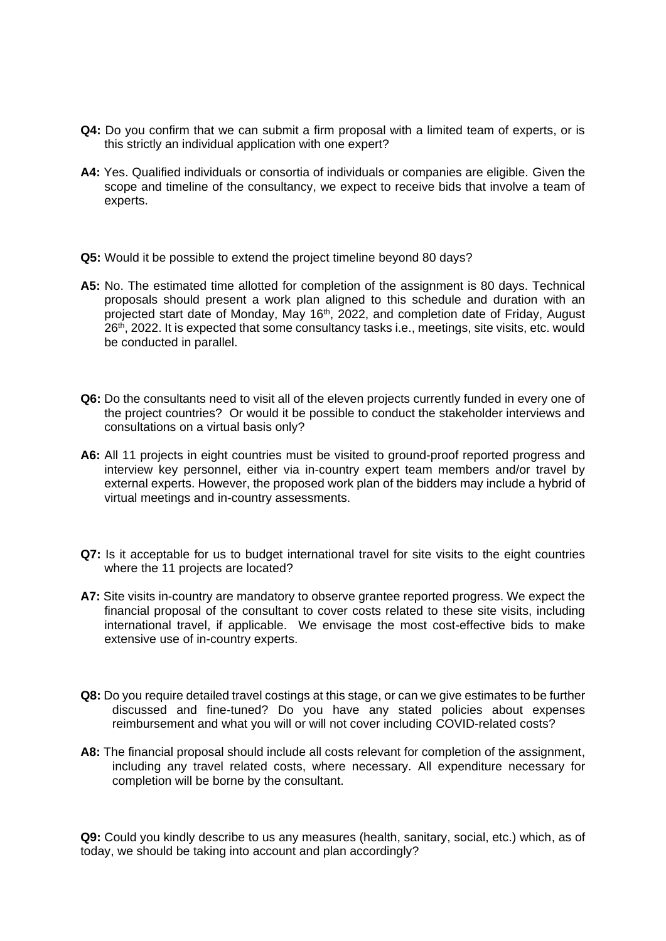- **Q4:** Do you confirm that we can submit a firm proposal with a limited team of experts, or is this strictly an individual application with one expert?
- **A4:** Yes. Qualified individuals or consortia of individuals or companies are eligible. Given the scope and timeline of the consultancy, we expect to receive bids that involve a team of experts.
- **Q5:** Would it be possible to extend the project timeline beyond 80 days?
- **A5:** No. The estimated time allotted for completion of the assignment is 80 days. Technical proposals should present a work plan aligned to this schedule and duration with an projected start date of Monday, May 16<sup>th</sup>, 2022, and completion date of Friday, August 26th, 2022. It is expected that some consultancy tasks i.e., meetings, site visits, etc. would be conducted in parallel.
- **Q6:** Do the consultants need to visit all of the eleven projects currently funded in every one of the project countries? Or would it be possible to conduct the stakeholder interviews and consultations on a virtual basis only?
- A6: All 11 projects in eight countries must be visited to ground-proof reported progress and interview key personnel, either via in-country expert team members and/or travel by external experts. However, the proposed work plan of the bidders may include a hybrid of virtual meetings and in-country assessments.
- **Q7:** Is it acceptable for us to budget international travel for site visits to the eight countries where the 11 projects are located?
- **A7:** Site visits in-country are mandatory to observe grantee reported progress. We expect the financial proposal of the consultant to cover costs related to these site visits, including international travel, if applicable. We envisage the most cost-effective bids to make extensive use of in-country experts.
- **Q8:** Do you require detailed travel costings at this stage, or can we give estimates to be further discussed and fine-tuned? Do you have any stated policies about expenses reimbursement and what you will or will not cover including COVID-related costs?
- **A8:** The financial proposal should include all costs relevant for completion of the assignment, including any travel related costs, where necessary. All expenditure necessary for completion will be borne by the consultant.

**Q9:** Could you kindly describe to us any measures (health, sanitary, social, etc.) which, as of today, we should be taking into account and plan accordingly?